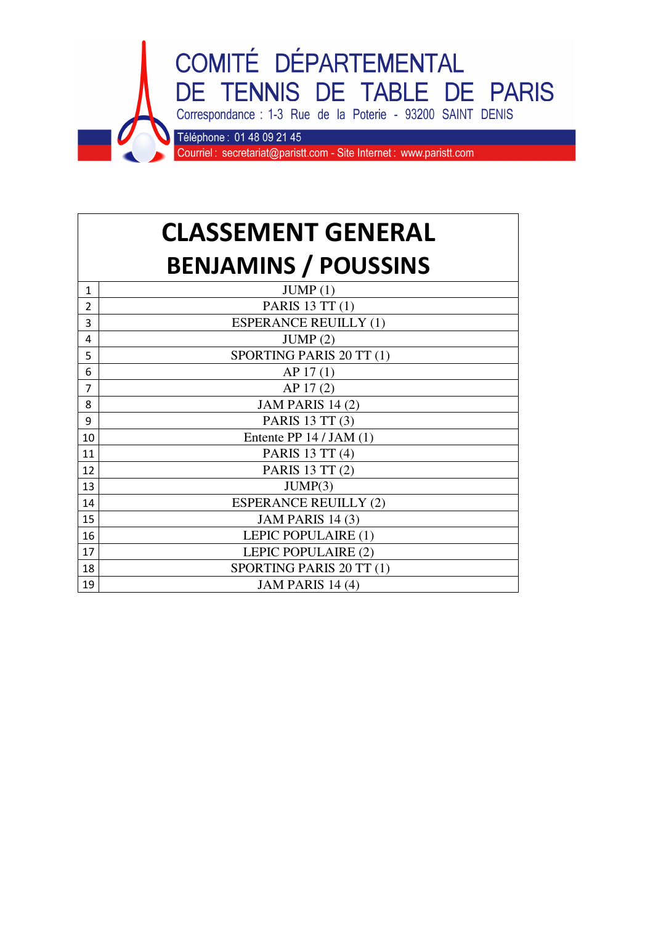

## **CLASSEMENT GENERAL BENJAMINS / POUSSINS**

| 1  | JUMP(1)                      |
|----|------------------------------|
| 2  | PARIS 13 TT (1)              |
| 3  | <b>ESPERANCE REUILLY (1)</b> |
| 4  | JUMP(2)                      |
| 5  | SPORTING PARIS 20 TT (1)     |
| 6  | AP 17(1)                     |
| 7  | AP 17(2)                     |
| 8  | JAM PARIS 14 (2)             |
| 9  | PARIS 13 TT (3)              |
| 10 | Entente PP $14 / JAM(1)$     |
| 11 | PARIS 13 TT (4)              |
| 12 | PARIS 13 TT (2)              |
| 13 | JUMP(3)                      |
| 14 | <b>ESPERANCE REUILLY (2)</b> |
| 15 | <b>JAM PARIS 14 (3)</b>      |
| 16 | LEPIC POPULAIRE (1)          |
| 17 | LEPIC POPULAIRE (2)          |
| 18 | SPORTING PARIS 20 TT (1)     |
| 19 | JAM PARIS 14 (4)             |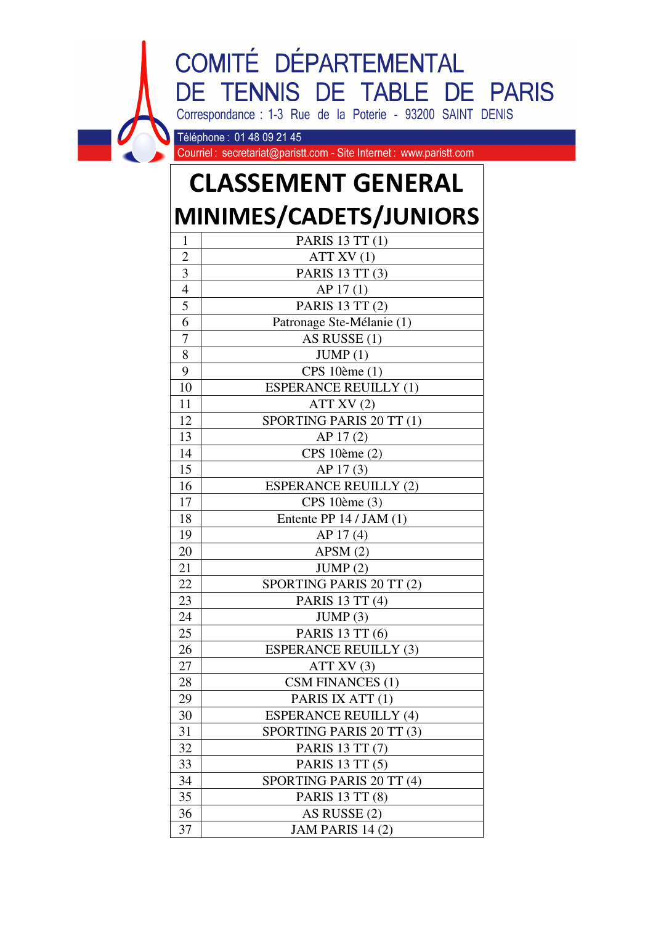## COMITÉ DÉPARTEMENTAL DE TENNIS DE TABLE DE PARIS Correspondance : 1-3 Rue de la Poterie - 93200 SAINT DENIS

Téléphone: 01 48 09 21 45

Courriel: secretariat@paristt.com - Site Internet: www.paristt.com

## **CLASSEMENT GENERAL MINIMES/CADETS/JUNIORS**

| <b>PARIS 13 TT (1)</b><br>ATT XV(1) |
|-------------------------------------|
|                                     |
|                                     |
| PARIS 13 TT (3)                     |
| AP 17(1)                            |
| PARIS 13 TT (2)                     |
| Patronage Ste-Mélanie (1)           |
| AS RUSSE (1)                        |
| JUMP(1)                             |
| CPS 10ème (1)                       |
| <b>ESPERANCE REUILLY (1)</b>        |
| ATT XV(2)                           |
| SPORTING PARIS 20 TT (1)            |
| AP 17(2)                            |
| CPS 10ème (2)                       |
| AP 17(3)                            |
| <b>ESPERANCE REUILLY (2)</b>        |
| CPS 10ème (3)                       |
| Entente PP $14 / JAM(1)$            |
| AP 17(4)                            |
| APSM(2)                             |
| JUMP(2)                             |
| SPORTING PARIS 20 TT (2)            |
| PARIS 13 TT (4)                     |
| JUMP(3)                             |
| PARIS 13 TT (6)                     |
| <b>ESPERANCE REUILLY (3)</b>        |
| ATT XV $(3)$                        |
| CSM FINANCES (1)                    |
| PARIS IX ATT (1)                    |
| <b>ESPERANCE REUILLY (4)</b>        |
| SPORTING PARIS 20 TT (3)            |
| PARIS 13 TT (7)                     |
| PARIS 13 TT (5)                     |
| SPORTING PARIS 20 TT (4)            |
| PARIS 13 TT (8)                     |
|                                     |
| AS RUSSE (2)                        |
|                                     |